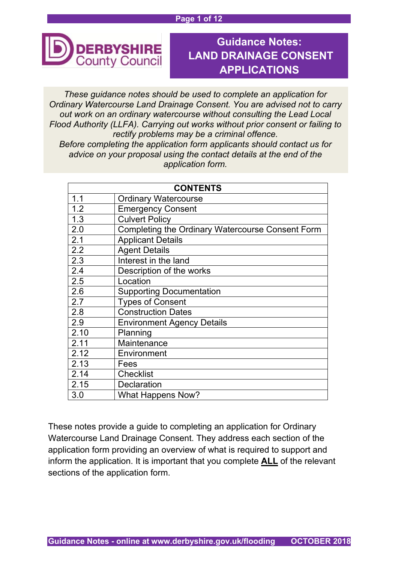#### **Page 1 of 12**



# **Guidance Notes: LAND DRAINAGE CONSENT APPLICATIONS**

*These guidance notes should be used to complete an application for Ordinary Watercourse Land Drainage Consent. You are advised not to carry out work on an ordinary watercourse without consulting the Lead Local Flood Authority (LLFA). Carrying out works without prior consent or failing to rectify problems may be a criminal offence. Before completing the application form applicants should contact us for* 

*advice on your proposal using the contact details at the end of the application form.*

| <b>CONTENTS</b> |                                                         |  |
|-----------------|---------------------------------------------------------|--|
| 1.1             | <b>Ordinary Watercourse</b>                             |  |
| 1.2             | <b>Emergency Consent</b>                                |  |
| 1.3             | <b>Culvert Policy</b>                                   |  |
| 2.0             | <b>Completing the Ordinary Watercourse Consent Form</b> |  |
| 2.1             | <b>Applicant Details</b>                                |  |
| 2.2             | <b>Agent Details</b>                                    |  |
| 2.3             | Interest in the land                                    |  |
| 2.4             | Description of the works                                |  |
| 2.5             | Location                                                |  |
| 2.6             | <b>Supporting Documentation</b>                         |  |
| 2.7             | <b>Types of Consent</b>                                 |  |
| 2.8             | <b>Construction Dates</b>                               |  |
| 2.9             | <b>Environment Agency Details</b>                       |  |
| 2.10            | Planning                                                |  |
| 2.11            | Maintenance                                             |  |
| 2.12            | Environment                                             |  |
| 2.13            | Fees                                                    |  |
| 2.14            | <b>Checklist</b>                                        |  |
| 2.15            | <b>Declaration</b>                                      |  |
| 3.0             | <b>What Happens Now?</b>                                |  |

These notes provide a guide to completing an application for Ordinary Watercourse Land Drainage Consent. They address each section of the application form providing an overview of what is required to support and inform the application. It is important that you complete **ALL** of the relevant sections of the application form.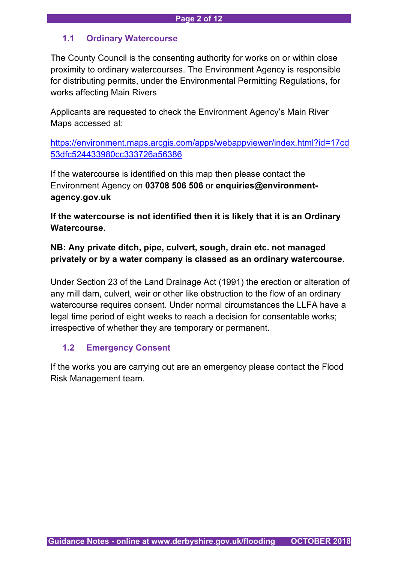# **1.1 Ordinary Watercourse**

The County Council is the consenting authority for works on or within close proximity to ordinary watercourses. The Environment Agency is responsible for distributing permits, under the Environmental Permitting Regulations, for works affecting Main Rivers

Applicants are requested to check the Environment Agency's Main River Maps accessed at:

[https://environment.maps.arcgis.com/apps/webappviewer/index.html?id=17cd](https://environment.maps.arcgis.com/apps/webappviewer/index.html?id=17cd53dfc524433980cc333726a56386) [53dfc524433980cc333726a56386](https://environment.maps.arcgis.com/apps/webappviewer/index.html?id=17cd53dfc524433980cc333726a56386)

If the watercourse is identified on this map then please contact the Environment Agency on **03708 506 506** or **enquiries@environmentagency.gov.uk**

**If the watercourse is not identified then it is likely that it is an Ordinary Watercourse.** 

**NB: Any private ditch, pipe, culvert, sough, drain etc. not managed privately or by a water company is classed as an ordinary watercourse.**

Under Section 23 of the Land Drainage Act (1991) the erection or alteration of any mill dam, culvert, weir or other like obstruction to the flow of an ordinary watercourse requires consent. Under normal circumstances the LLFA have a legal time period of eight weeks to reach a decision for consentable works; irrespective of whether they are temporary or permanent.

# **1.2 Emergency Consent**

If the works you are carrying out are an emergency please contact the Flood Risk Management team.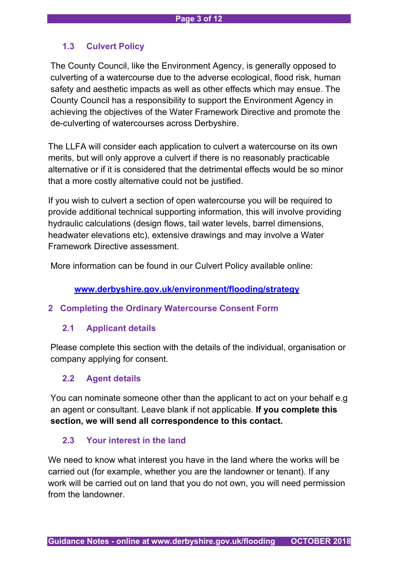# **1.3 Culvert Policy**

The County Council, like the Environment Agency, is generally opposed to culverting of a watercourse due to the adverse ecological, flood risk, human safety and aesthetic impacts as well as other effects which may ensue. The County Council has a responsibility to support the Environment Agency in achieving the objectives of the Water Framework Directive and promote the de-culverting of watercourses across Derbyshire.

The LLFA will consider each application to culvert a watercourse on its own merits, but will only approve a culvert if there is no reasonably practicable alternative or if it is considered that the detrimental effects would be so minor that a more costly alternative could not be justified.

If you wish to culvert a section of open watercourse you will be required to provide additional technical supporting information, this will involve providing hydraulic calculations (design flows, tail water levels, barrel dimensions, headwater elevations etc), extensive drawings and may involve a Water Framework Directive assessment.

More information can be found in our Culvert Policy available online:

# **[www.derbyshire.gov.uk/environment/flooding/strategy](http://www.derbyshire.gov.uk/environment/flooding/strategy)**

## **2 Completing the Ordinary Watercourse Consent Form**

## **2.1 Applicant details**

Please complete this section with the details of the individual, organisation or company applying for consent.

# **2.2 Agent details**

You can nominate someone other than the applicant to act on your behalf e.g an agent or consultant. Leave blank if not applicable. **If you complete this section, we will send all correspondence to this contact.**

## **2.3 Your interest in the land**

We need to know what interest you have in the land where the works will be carried out (for example, whether you are the landowner or tenant). If any work will be carried out on land that you do not own, you will need permission from the landowner.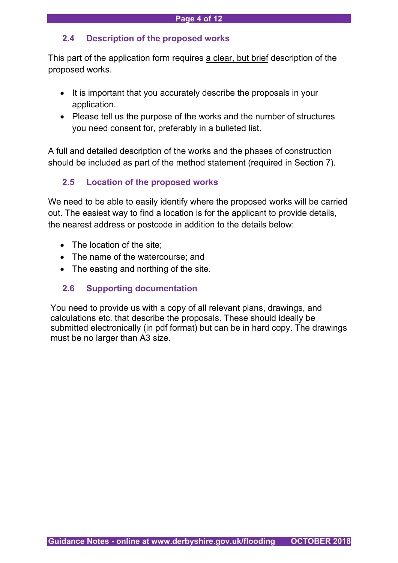# **2.4 Description of the proposed works**

This part of the application form requires a clear, but brief description of the proposed works.

- It is important that you accurately describe the proposals in your application.
- Please tell us the purpose of the works and the number of structures you need consent for, preferably in a bulleted list.

A full and detailed description of the works and the phases of construction should be included as part of the method statement (required in Section 7).

# **2.5 Location of the proposed works**

We need to be able to easily identify where the proposed works will be carried out. The easiest way to find a location is for the applicant to provide details, the nearest address or postcode in addition to the details below:

- The location of the site;
- The name of the watercourse; and
- The easting and northing of the site.

# **2.6 Supporting documentation**

You need to provide us with a copy of all relevant plans, drawings, and calculations etc. that describe the proposals. These should ideally be submitted electronically (in pdf format) but can be in hard copy. The drawings must be no larger than A3 size.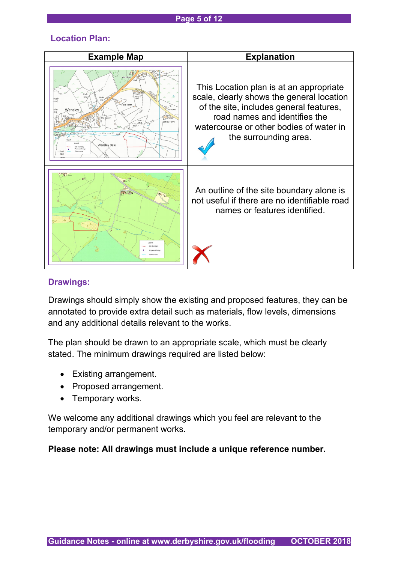#### **Page 5 of 12**

## **Location Plan:**

| <b>Example Map</b>                                                                                                     | <b>Explanation</b>                                                                                                                                                                                                                   |
|------------------------------------------------------------------------------------------------------------------------|--------------------------------------------------------------------------------------------------------------------------------------------------------------------------------------------------------------------------------------|
| Shaft<br>Mary'<br>Field Farm<br>Wenslev<br>Thorntree<br>The Green<br>obby Farm<br>(d s)<br>Path<br><b>Wensley Dale</b> | This Location plan is at an appropriate<br>scale, clearly shows the general location<br>of the site, includes general features,<br>road names and identifies the<br>watercourse or other bodies of water in<br>the surrounding area. |
|                                                                                                                        | An outline of the site boundary alone is<br>not useful if there are no identifiable road<br>names or features identified.                                                                                                            |

#### **Drawings:**

Drawings should simply show the existing and proposed features, they can be annotated to provide extra detail such as materials, flow levels, dimensions and any additional details relevant to the works.

The plan should be drawn to an appropriate scale, which must be clearly stated. The minimum drawings required are listed below:

- Existing arrangement.
- Proposed arrangement.
- Temporary works.

We welcome any additional drawings which you feel are relevant to the temporary and/or permanent works.

**Please note: All drawings must include a unique reference number.**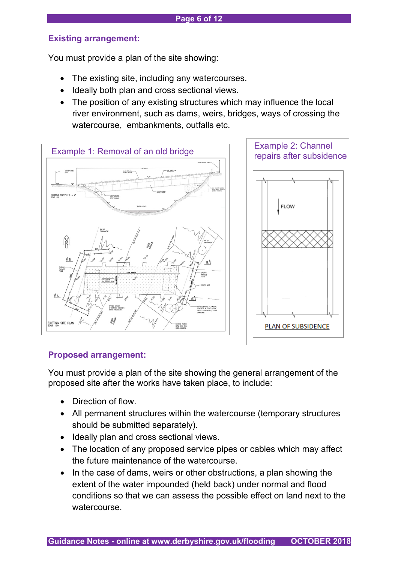## **Existing arrangement:**

You must provide a plan of the site showing:

- The existing site, including any watercourses.
- Ideally both plan and cross sectional views.
- The position of any existing structures which may influence the local river environment, such as dams, weirs, bridges, ways of crossing the watercourse, embankments, outfalls etc.



## **Proposed arrangement:**

You must provide a plan of the site showing the general arrangement of the proposed site after the works have taken place, to include:

- Direction of flow.
- All permanent structures within the watercourse (temporary structures should be submitted separately).
- Ideally plan and cross sectional views.
- The location of any proposed service pipes or cables which may affect the future maintenance of the watercourse.
- In the case of dams, weirs or other obstructions, a plan showing the extent of the water impounded (held back) under normal and flood conditions so that we can assess the possible effect on land next to the watercourse.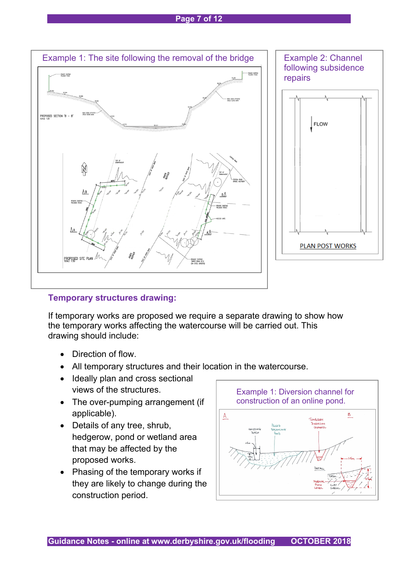#### **Page 7 of 12**



## **Temporary structures drawing:**

If temporary works are proposed we require a separate drawing to show how the temporary works affecting the watercourse will be carried out. This drawing should include:

- Direction of flow.
- All temporary structures and their location in the watercourse.
- Ideally plan and cross sectional views of the structures.
- The over-pumping arrangement (if applicable).
- Details of any tree, shrub, hedgerow, pond or wetland area that may be affected by the proposed works.
- Phasing of the temporary works if they are likely to change during the construction period.

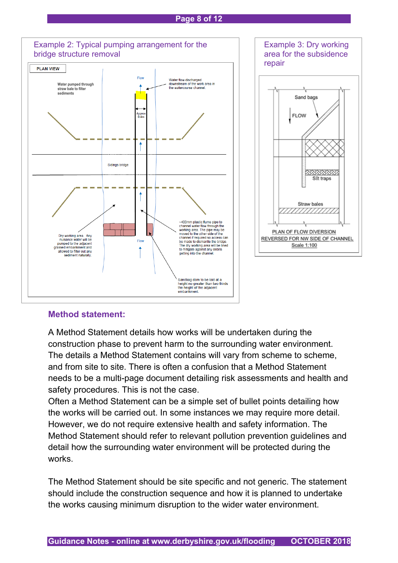#### **Page 8 of 12**



#### **Method statement:**

A Method Statement details how works will be undertaken during the construction phase to prevent harm to the surrounding water environment. The details a Method Statement contains will vary from scheme to scheme, and from site to site. There is often a confusion that a Method Statement needs to be a multi-page document detailing risk assessments and health and safety procedures. This is not the case.

Often a Method Statement can be a simple set of bullet points detailing how the works will be carried out. In some instances we may require more detail. However, we do not require extensive health and safety information. The Method Statement should refer to relevant pollution prevention guidelines and detail how the surrounding water environment will be protected during the works.

The Method Statement should be site specific and not generic. The statement should include the construction sequence and how it is planned to undertake the works causing minimum disruption to the wider water environment.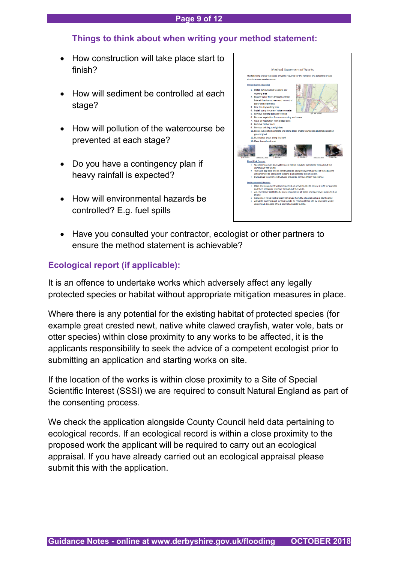#### **Page 9 of 12**

## **Things to think about when writing your method statement:**

- How construction will take place start to finish?
- How will sediment be controlled at each stage?
- How will pollution of the watercourse be prevented at each stage?
- Do you have a contingency plan if heavy rainfall is expected?
- How will environmental hazards be controlled? E.g. fuel spills



• Have you consulted your contractor, ecologist or other partners to ensure the method statement is achievable?

# **Ecological report (if applicable):**

It is an offence to undertake works which adversely affect any legally protected species or habitat without appropriate mitigation measures in place.

Where there is any potential for the existing habitat of protected species (for example great crested newt, native white clawed crayfish, water vole, bats or otter species) within close proximity to any works to be affected, it is the applicants responsibility to seek the advice of a competent ecologist prior to submitting an application and starting works on site.

If the location of the works is within close proximity to a Site of Special Scientific Interest (SSSI) we are required to consult Natural England as part of the consenting process.

We check the application alongside County Council held data pertaining to ecological records. If an ecological record is within a close proximity to the proposed work the applicant will be required to carry out an ecological appraisal. If you have already carried out an ecological appraisal please submit this with the application.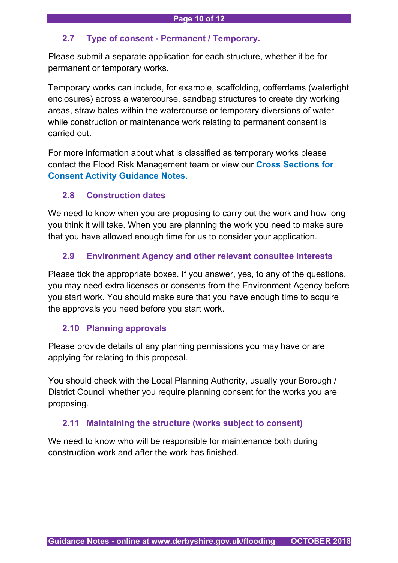#### **2.7 Type of consent - Permanent / Temporary.**

Please submit a separate application for each structure, whether it be for permanent or temporary works.

Temporary works can include, for example, scaffolding, cofferdams (watertight enclosures) across a watercourse, sandbag structures to create dry working areas, straw bales within the watercourse or temporary diversions of water while construction or maintenance work relating to permanent consent is carried out.

For more information about what is classified as temporary works please contact the Flood Risk Management team or view our **Cross Sections for Consent Activity Guidance Notes.**

#### **2.8 Construction dates**

We need to know when you are proposing to carry out the work and how long you think it will take. When you are planning the work you need to make sure that you have allowed enough time for us to consider your application.

## **2.9 Environment Agency and other relevant consultee interests**

Please tick the appropriate boxes. If you answer, yes, to any of the questions, you may need extra licenses or consents from the Environment Agency before you start work. You should make sure that you have enough time to acquire the approvals you need before you start work.

#### **2.10 Planning approvals**

Please provide details of any planning permissions you may have or are applying for relating to this proposal.

You should check with the Local Planning Authority, usually your Borough / District Council whether you require planning consent for the works you are proposing.

#### **2.11 Maintaining the structure (works subject to consent)**

We need to know who will be responsible for maintenance both during construction work and after the work has finished.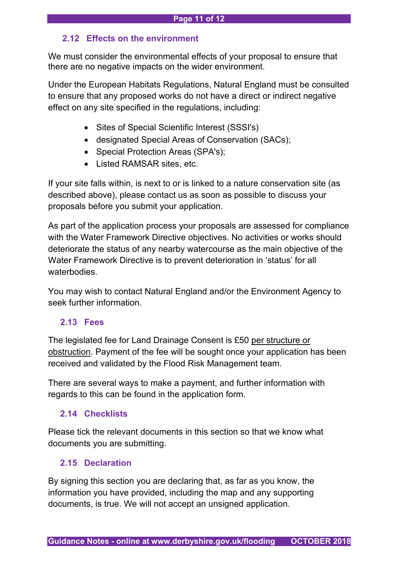## **2.12 Effects on the environment**

We must consider the environmental effects of your proposal to ensure that there are no negative impacts on the wider environment.

Under the European Habitats Regulations, Natural England must be consulted to ensure that any proposed works do not have a direct or indirect negative effect on any site specified in the regulations, including:

- Sites of Special Scientific Interest (SSSI's)
- designated Special Areas of Conservation (SACs);
- Special Protection Areas (SPA's);
- Listed RAMSAR sites, etc.

If your site falls within, is next to or is linked to a nature conservation site (as described above), please contact us as soon as possible to discuss your proposals before you submit your application.

As part of the application process your proposals are assessed for compliance with the Water Framework Directive objectives. No activities or works should deteriorate the status of any nearby watercourse as the main objective of the Water Framework Directive is to prevent deterioration in 'status' for all waterbodies.

You may wish to contact Natural England and/or the Environment Agency to seek further information.

# **2.13 Fees**

The legislated fee for Land Drainage Consent is £50 per structure or obstruction. Payment of the fee will be sought once your application has been received and validated by the Flood Risk Management team.

There are several ways to make a payment, and further information with regards to this can be found in the application form.

# **2.14 Checklists**

Please tick the relevant documents in this section so that we know what documents you are submitting.

# **2.15 Declaration**

By signing this section you are declaring that, as far as you know, the information you have provided, including the map and any supporting documents, is true. We will not accept an unsigned application.